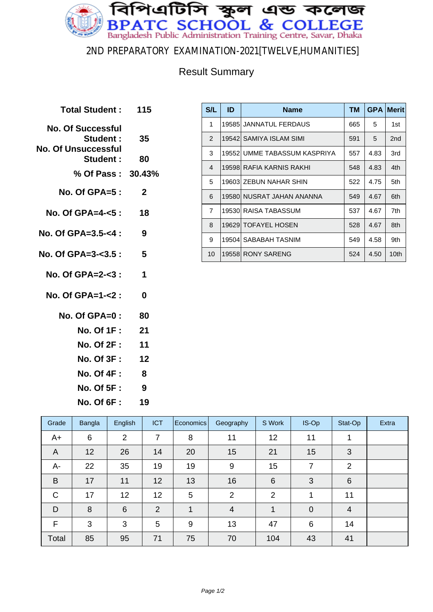

#### 2ND PREPARATORY EXAMINATION-2021[TWELVE,HUMANITIES]

### Result Summary

| Total Student: 115               |             |
|----------------------------------|-------------|
| <b>No. Of Successful</b>         |             |
| Student :<br>No. Of Unsuccessful | 35          |
| <b>Student :</b>                 | 80          |
| % Of Pass: 30.43%                |             |
| No. Of GPA= $5:$                 | $\mathbf 2$ |
| No. Of GPA=4-<5 :                | 18          |
| No. Of GPA=3.5-<4 :              | 9           |
| No. Of GPA=3- $3.5:5:5$          |             |
| No. Of $GPA = 2 - 3$ :           | 1           |
| No. Of GPA=1-<2 :                | 0           |
| No. Of GPA=0 :                   | 80          |
| No. Of 1F :                      | 21          |
| No. Of 2F :                      | 11          |
| No. Of 3F :                      | 12          |
| <b>No. Of 4F:</b>                | -8          |
| <b>No. Of 5F:</b>                | - 9         |
| <b>No. Of 6F :</b>               | 19          |

| S/L            | ID | <b>Name</b>                  | <b>TM</b> | <b>GPA</b> | <b>Merit</b>     |
|----------------|----|------------------------------|-----------|------------|------------------|
| 1              |    | 19585 JANNATUL FERDAUS       | 665       | 5          | 1st              |
| $\mathcal{P}$  |    | 19542  SAMIYA ISLAM SIMI     | 591       | 5          | 2nd              |
| 3              |    | 19552 UMME TABASSUM KASPRIYA | 557       | 4.83       | 3rd              |
| $\overline{4}$ |    | 19598 RAFIA KARNIS RAKHI     | 548       | 4.83       | 4th              |
| 5              |    | 19603 ZEBUN NAHAR SHIN       | 522       | 4.75       | 5th              |
| 6              |    | 19580 NUSRAT JAHAN ANANNA    | 549       | 4.67       | 6th              |
| $\overline{7}$ |    | 19530 RAISA TABASSUM         | 537       | 4.67       | 7th              |
| 8              |    | 19629 TOFAYEL HOSEN          | 528       | 4.67       | 8th              |
| 9              |    | 19504 SABABAH TASNIM         | 549       | 4.58       | 9th              |
| 10             |    | 19558 RONY SARENG            | 524       | 4.50       | 10 <sub>th</sub> |

| Grade          | Bangla | English        | <b>ICT</b> | Economics | Geography      | S Work         | IS-Op          | Stat-Op        | Extra |
|----------------|--------|----------------|------------|-----------|----------------|----------------|----------------|----------------|-------|
| A+             | 6      | $\overline{2}$ | 7          | 8         | 11             | 12             | 11             |                |       |
| $\overline{A}$ | 12     | 26             | 14         | 20        | 15             | 21             | 15             | 3              |       |
| A-             | 22     | 35             | 19         | 19        | 9              | 15             | 7              | 2              |       |
| B              | 17     | 11             | 12         | 13        | 16             | 6              | 3              | 6              |       |
| $\mathsf{C}$   | 17     | 12             | 12         | 5         | $\overline{2}$ | $\overline{2}$ | 1              | 11             |       |
| D              | 8      | 6              | 2          | 1         | $\overline{4}$ | 1              | $\overline{0}$ | $\overline{4}$ |       |
| F              | 3      | 3              | 5          | 9         | 13             | 47             | 6              | 14             |       |
| Total          | 85     | 95             | 71         | 75        | 70             | 104            | 43             | 41             |       |